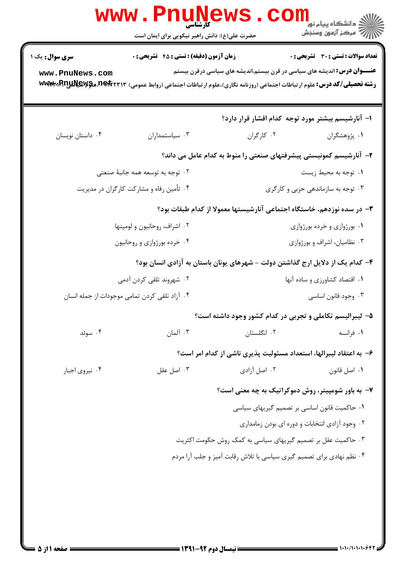| www.PnuNews                                                                                                                                                                                                                     |                                               |                                                                               |                                                   |  |  |
|---------------------------------------------------------------------------------------------------------------------------------------------------------------------------------------------------------------------------------|-----------------------------------------------|-------------------------------------------------------------------------------|---------------------------------------------------|--|--|
|                                                                                                                                                                                                                                 | حضرت علی(ع): دانش راهبر نیکویی برای ایمان است |                                                                               |                                                   |  |  |
| سری سوال: یک ۱                                                                                                                                                                                                                  | زمان آزمون (دقیقه) : تستی : 45 تشریحی : 0     |                                                                               | <b>تعداد سوالات : تستی : 30 ٪ تشریحی : 0</b>      |  |  |
| <b>عنــــوان درس:</b> اندیشه های سیاسی در قرن بیستم،اندیشه های سیاسی درقرن بیستم<br>www.PnuNews.com<br>رشته تحصیلی/کد درس: علوم ارتباطات اجتماعی (روزنامه نگاری)،علوم ارتباطات اجتماعی (روابط عمومی) m&t TPT،هکیللیابالهایا+www |                                               |                                                                               |                                                   |  |  |
|                                                                                                                                                                                                                                 |                                               |                                                                               | ۱– آنارشیسم بیشتر مورد توجه کدام اقشار قرار دارد؟ |  |  |
| ۰۴ داستان نویسان                                                                                                                                                                                                                | ۰۳ سیاستمداران                                | ۰۲ کارگران                                                                    | ۰۱ پژوهشگران                                      |  |  |
|                                                                                                                                                                                                                                 |                                               | ۲– آنارشیسم کمونیستی پیشرفتهای صنعتی را منوط به کدام عامل می داند؟            |                                                   |  |  |
|                                                                                                                                                                                                                                 | ۰۲ توجه به توسعه همه جانبهٔ صنعتی             |                                                                               | ۰۱ توجه به محيط زيست                              |  |  |
| ۰۴ تأمین رفاه و مشارکت کارگران در مدیریت                                                                                                                                                                                        |                                               | ۰۳ توجه به سازماندهی حزبی و کارگری                                            |                                                   |  |  |
| ۳– در سده نوزدهم، خاستگاه اجتماعی آنارشیستها معمولا از کدام طبقات بود؟                                                                                                                                                          |                                               |                                                                               |                                                   |  |  |
| ۰۲ اشراف، روحانیون و لومپنها                                                                                                                                                                                                    |                                               | ۰۱ بورژوازی و خرده بورژوازی                                                   |                                                   |  |  |
| ۰۴ خرده بورژوازی و روحانیون                                                                                                                                                                                                     |                                               | ۰۳ نظامیان، اشراف و بورژوازی                                                  |                                                   |  |  |
|                                                                                                                                                                                                                                 |                                               | ۴– کدام یک از دلایل ارج گذاشتن دولت – شهرهای یونان باستان به آزادی انسان بود؟ |                                                   |  |  |
| ۰۲ شهروند تلقی کردن آدمی                                                                                                                                                                                                        |                                               | ۰۱ اقتصاد کشاورزی و ساده آنها                                                 |                                                   |  |  |
| ۰۴ آزاد تلقی کردن تمامی موجودات از جمله انسان                                                                                                                                                                                   |                                               | ۰۳ وجود قانون اساسي                                                           |                                                   |  |  |
|                                                                                                                                                                                                                                 |                                               | ۵– لیبرالیسم تکاملی و تجربی در کدام کشور وجود داشته است؟                      |                                                   |  |  |
| ۰۴ سوئد                                                                                                                                                                                                                         | ۰۳ آلمان                                      | ۰۲ انگلستان                                                                   | ۰۱ فرانسه                                         |  |  |
|                                                                                                                                                                                                                                 |                                               | ۶– به اعتقاد لیبرالها، استعداد مسئولیت پذیری ناشی از کدام امر است؟            |                                                   |  |  |
| ۰۴ نیروی اجبار                                                                                                                                                                                                                  | ۰۳ اصل عقل                                    | ۰۲ اصل آزادی                                                                  | ٠١ اصل قانون                                      |  |  |
|                                                                                                                                                                                                                                 |                                               |                                                                               | ۷- به باور شومپیتر، روش دموکراتیک به چه معنی است؟ |  |  |
|                                                                                                                                                                                                                                 |                                               |                                                                               | ۰۱ حاکمیت قانون اساسی بر تصمیم گیریهای سیاسی      |  |  |
|                                                                                                                                                                                                                                 |                                               |                                                                               | ۰۲ وجود آزادی انتخابات و دوره ای بودن زمامداری    |  |  |
| ۰۳ حاکمیت عقل بر تصمیم گیریهای سیاسی به کمک روش حکومت اکثریت                                                                                                                                                                    |                                               |                                                                               |                                                   |  |  |
| ۰۴ نظم نهادی برای تصمیم گیری سیاسی با تلاش رقابت آمیز و جلب آرا مردم                                                                                                                                                            |                                               |                                                                               |                                                   |  |  |
|                                                                                                                                                                                                                                 |                                               |                                                                               |                                                   |  |  |
|                                                                                                                                                                                                                                 |                                               |                                                                               |                                                   |  |  |
|                                                                                                                                                                                                                                 |                                               |                                                                               |                                                   |  |  |
|                                                                                                                                                                                                                                 |                                               |                                                                               |                                                   |  |  |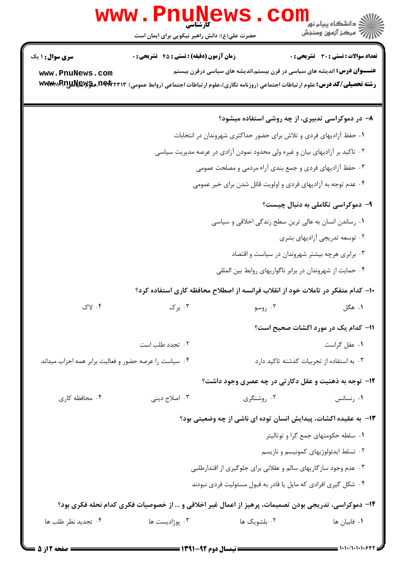|                                                                             | www.PnuNews<br>حضرت علی(ع): دانش راهبر نیکویی برای ایمان است                                         |                                                                                                                                                                                          | دانشگاه پیام نور<br>هنگاه پیام نور<br>ر ج<br>کا مرڪز آزمون وسنڊش |  |
|-----------------------------------------------------------------------------|------------------------------------------------------------------------------------------------------|------------------------------------------------------------------------------------------------------------------------------------------------------------------------------------------|------------------------------------------------------------------|--|
| <b>سری سوال : ۱ یک</b>                                                      | <b>زمان آزمون (دقیقه) : تستی : 45 قشریحی : 0</b>                                                     |                                                                                                                                                                                          | <b>تعداد سوالات : تستی : 30 ٪ تشریحی : 0</b>                     |  |
| www.PnuNews.com<br>WWW.RnuNews.netrryr                                      |                                                                                                      | <b>عنــــوان درس:</b> اندیشه های سیاسی در قرن بیستم،اندیشه های سیاسی درقرن بیستم<br><b>رشته تحصیلی/کد درس:</b> علوم ارتباطات اجتماعی (روزنامه نگاری)،علوم ارتباطات اجتماعی (روابط عمومی) |                                                                  |  |
|                                                                             |                                                                                                      |                                                                                                                                                                                          | ۸- در دموکراسی تدبیری، از چه روشی استفاده میشود؟                 |  |
| ۰۱ حفظ آزادیهای فردی و تلاش برای حضور حداکثری شهروندان در انتخابات          |                                                                                                      |                                                                                                                                                                                          |                                                                  |  |
| ۰۲ تاکید بر آزادیهای بیان و غیره ولی محدود نمودن آزادی در عرصه مدیریت سیاسی |                                                                                                      |                                                                                                                                                                                          |                                                                  |  |
| ۰۳ حفظ آزادیهای فردی و جمع بندی آراء مردمی و مصلحت عمومی                    |                                                                                                      |                                                                                                                                                                                          |                                                                  |  |
| ۰۴ عدم توجه به آزادیهای فردی و اولویت قائل شدن برای خیر عمومی               |                                                                                                      |                                                                                                                                                                                          |                                                                  |  |
|                                                                             |                                                                                                      |                                                                                                                                                                                          | ۹- دموکراسی تکاملی به دنبال چیست؟                                |  |
|                                                                             |                                                                                                      | ۰۱ رساندن انسان به عالی ترین سطح زندگی اخلاقی و سیاسی                                                                                                                                    |                                                                  |  |
|                                                                             |                                                                                                      |                                                                                                                                                                                          | ۰۲ توسعه تدریجی آزادیهای بشری                                    |  |
|                                                                             |                                                                                                      |                                                                                                                                                                                          | ۰۳ برابری هرچه بیشتر شهروندان در سیاست و اقتصاد                  |  |
|                                                                             |                                                                                                      | ۰۴ حمایت از شهروندان در برابر ناگواریهای روابط بین المللی                                                                                                                                |                                                                  |  |
|                                                                             |                                                                                                      | ∙ا− کدام متفکر در تاملات خود از انقلاب فرانسه از اصطلاح محافظه کاری استفاده کرد؟                                                                                                         |                                                                  |  |
| ۰۴ لاک                                                                      | ۰۳ برک                                                                                               | ۰۲ روسو                                                                                                                                                                                  | ۰۱ هگل                                                           |  |
|                                                                             |                                                                                                      |                                                                                                                                                                                          | 11- کدام یک در مورد اکشات صحیح است؟                              |  |
|                                                                             | ۰۲ تجدد طلب است                                                                                      |                                                                                                                                                                                          | ٠١ عقل گراست                                                     |  |
| ۰۴ سیاست را عرصه حضور و فعالیت برابر همه احزاب میداند                       |                                                                                                      |                                                                                                                                                                                          | ۰۳ به استفاده از تجربیات کذشته تاکید دارد                        |  |
|                                                                             |                                                                                                      | <b>۱۲</b> - توجه به ذهنیت و عقل دکارتی در چه عصری وجود داشت؟                                                                                                                             |                                                                  |  |
| ۰۴ محافظه کاری                                                              | ۰۳ اصلاح دینی                                                                                        | ۰۲ روشنگری                                                                                                                                                                               | ۰۱ رنسانس                                                        |  |
|                                                                             |                                                                                                      | ۱۳- به عقیده اکشات، پیدایش انسان توده ای ناشی از چه وضعیتی بود؟                                                                                                                          |                                                                  |  |
|                                                                             |                                                                                                      |                                                                                                                                                                                          | ٠١ سلطه حكومتهاى جمع گرا و توتاليتر                              |  |
|                                                                             |                                                                                                      |                                                                                                                                                                                          | ۰۲ تسلط ایدئولوژیهای کمونیسم و نازیسم                            |  |
| ۰۳ عدم وجود سازگاریهای سالم و عقلانی برای جلوگیری از اقتدارطلبی             |                                                                                                      |                                                                                                                                                                                          |                                                                  |  |
|                                                                             |                                                                                                      | ۰۴ شکل گیری افرادی که مایل یا قادر به قبول مسئولیت فردی نبودند                                                                                                                           |                                                                  |  |
|                                                                             | ۱۴- دموکراسی، تدریجی بودن تصمیمات، پرهیز از اعمال غیر اخلاقی و … از خصوصیات فکری کدام نحله فکری بود؟ |                                                                                                                                                                                          |                                                                  |  |
| ۰۴ تجدید نظر طلب ها                                                         | ۰۳ پوژاديست ها                                                                                       | ۰۲ بلشویک ها                                                                                                                                                                             | ٠١. فابيان ها                                                    |  |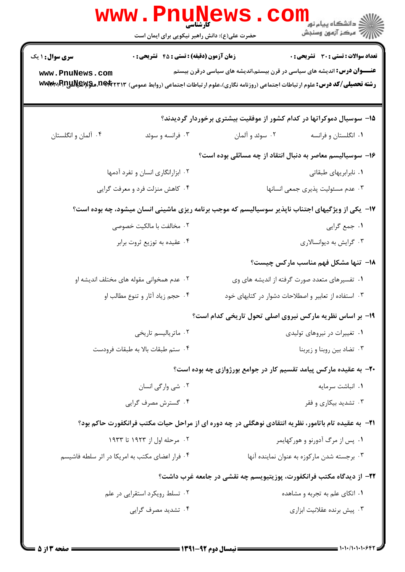|                                                                                                                           | حضرت علی(ع): دانش راهبر نیکویی برای ایمان است                                                               |  |
|---------------------------------------------------------------------------------------------------------------------------|-------------------------------------------------------------------------------------------------------------|--|
| تعداد سوالات : تستي : 30 ٪ تشريحي : 0<br><b>عنــــوان درس:</b> اندیشه های سیاسی در قرن بیستم،اندیشه های سیاسی درقرن بیستم | <b>سری سوال : ۱ یک</b><br><b>زمان آزمون (دقیقه) : تستی : 45 قشریحی : 0</b>                                  |  |
| <b>رشته تحصیلی/کد درس:</b> علوم ارتباطات اجتماعی (روزنامه نگاری)،علوم ارتباطات اجتماعی (روابط عمومی)                      | www.PnuNews.com<br>www.BnuNews.netrrir                                                                      |  |
| ۱۵– سوسیال دموکراتها در کدام کشور از موفقیت بیشتری برخوردار گردیدند؟                                                      |                                                                                                             |  |
| ۰۱ انگلستان و فرانسه<br>۰۲ سوئد و آلمان                                                                                   | ۰۴ آلمان و انگلستان<br>۰۳ فرانسه و سوئد                                                                     |  |
| ۱۶– سوسیالیسم معاصر به دنبال انتقاد از چه مسائلی بوده است؟                                                                |                                                                                                             |  |
| ٠١ نابرابريهاى طبقاتى                                                                                                     | ۰۲ ابزارانگاری انسان و تفرد آدمها                                                                           |  |
| ۰۳ عدم مسئوليت پذيري جمعي انسانها                                                                                         | ۰۴ کاهش منزلت فرد و معرفت گرايي                                                                             |  |
|                                                                                                                           | ۱۷– یکی از ویژگیهای اجتناب ناپذیر سوسیالیسم که موجب برنامه ریزی ماشینی انسان میشود، چه بوده است؟            |  |
| ۰۱ جمع گرايي                                                                                                              | ۰۲ مخالفت با مالکیت خصوصی                                                                                   |  |
| ۰۳ گرايش به ديوانسالاري                                                                                                   | ۰۴ عقیده به توزیع ثروت برابر                                                                                |  |
| 1۸– تنها مشکل فهم مناسب مارکس چیست؟                                                                                       |                                                                                                             |  |
| ۰۱ تفسیرهای متعدد صورت گرفته از اندیشه های وی                                                                             | ۰۲ عدم همخوانی مقوله های مختلف اندیشه او                                                                    |  |
| ۰۳ استفاده از تعابیر و اصطلاحات دشوار در کتابهای خود                                                                      | ۰۴ حجم زیاد آثار و تنوع مطالب او                                                                            |  |
| <b>۱۹</b> - بر اساس نظریه مارکس نیروی اصلی تحول تاریخی کدام است؟                                                          |                                                                                                             |  |
| ۰۱ تغییرات در نیروهای تولیدی                                                                                              | ۰۲ ماتر پالیسم تاریخی                                                                                       |  |
| ۰۳ تضاد بين روبنا و زيربنا                                                                                                | ۰۴ ستم طبقات بالا به طبقات فرودست                                                                           |  |
| ۲۰- به عقیده مارکس پیامد تقسیم کار در جوامع بورژوازی چه بوده است؟                                                         |                                                                                                             |  |
| ۰۱ انباشت سرمایه                                                                                                          | ۰۲ شي وارگي انسان                                                                                           |  |
| ۰۳ تشدید بیکاری و فقر                                                                                                     | ۰۴ گسترش مصرف گرایی                                                                                         |  |
|                                                                                                                           | <b>۲۱</b> - به عقیده تام باتامور، نظریه انتقادی نوهگلی در چه دوره ای از مراحل حیات مکتب فرانکفورت حاکم بود؟ |  |
| ۰۱ پس از مرگ آدورنو و هورکهایمر                                                                                           | ۰۲ مرحله اول از ۱۹۲۳ تا ۱۹۳۳                                                                                |  |
| ۰۳ برجسته شدن مارکوزه به عنوان نماینده آنها                                                                               | ۰۴ فرار اعضای مکتب به امریکا در اثر سلطه فاشیسم                                                             |  |
| ۲۲– از دیدگاه مکتب فرانکفورت، پوزیتیویسم چه نقشی در جامعه غرب داشت؟                                                       |                                                                                                             |  |
| ۰۱ اتکای علم به تجربه و مشاهده                                                                                            | ۰۲ تسلط رویکرد استقرایی در علم                                                                              |  |
| ۰۳ پیش برنده عقلانیت ابزاری                                                                                               | ۰۴ تشدید مصرف گرایی                                                                                         |  |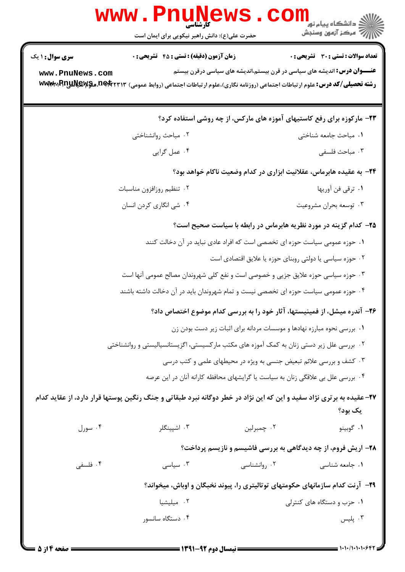| www.PnuNews                                                                               |                                                                                                                      |              |                                                                                  |  |  |
|-------------------------------------------------------------------------------------------|----------------------------------------------------------------------------------------------------------------------|--------------|----------------------------------------------------------------------------------|--|--|
|                                                                                           | حضرت علی(ع): دانش راهبر نیکویی برای ایمان است                                                                        |              |                                                                                  |  |  |
| <b>سری سوال : ۱ یک</b>                                                                    | <b>زمان آزمون (دقیقه) : تستی : 45 تشریحی : 0</b>                                                                     |              | <b>تعداد سوالات : تستی : 30 ٪ تشریحی : 0</b>                                     |  |  |
| www.PnuNews.com<br>www.RnuNews.netrrir                                                    | <b>رشته تحصیلی/کد درس:</b> علوم ارتباطات اجتماعی (روزنامه نگاری)،علوم ارتباطات اجتماعی (روابط عمومی)                 |              | <b>عنــــوان درس:</b> اندیشه های سیاسی در قرن بیستم،اندیشه های سیاسی درقرن بیستم |  |  |
| ۲۳- مارکوزه برای رفع کاستیهای آموزه های مارکس، از چه روشی استفاده کرد؟                    |                                                                                                                      |              |                                                                                  |  |  |
|                                                                                           | ۰۲ مباحث روانشناختی                                                                                                  |              | ٠١ مباحث جامعه شناختى                                                            |  |  |
|                                                                                           | ۰۴ عمل گرايي                                                                                                         |              | ۰۳ مباحث فلسفى                                                                   |  |  |
| ۲۴- به عقیده هابرماس، عقلانیت ابزاری در کدام وضعیت ناکام خواهد بود؟                       |                                                                                                                      |              |                                                                                  |  |  |
|                                                                                           | ۰۲ تنظیم روزافزون مناسبات                                                                                            |              | ۰۱ ترقی فن آوریها                                                                |  |  |
|                                                                                           | ۰۴ شي انگاري كردن انسان                                                                                              |              | ۰۳ توسعه بحران مشروعيت                                                           |  |  |
|                                                                                           |                                                                                                                      |              | ۲۵– کدام گزینه در مورد نظریه هابرماس در رابطه با سیاست صحیح است؟                 |  |  |
| ۰۱ حوزه عمومی سیاست حوزه ای تخصصی است که افراد عادی نباید در آن دخالت کنند                |                                                                                                                      |              |                                                                                  |  |  |
|                                                                                           |                                                                                                                      |              | ۰۲ حوزه سیاسی یا دولتی روبنای حوزه یا علایق اقتصادی است                          |  |  |
|                                                                                           | ۰۳ حوزه سیاسی حوزه علایق جزیی و خصوصی است و نفع کلی شهروندان مصالح عمومی آنها است                                    |              |                                                                                  |  |  |
| ۰۴ حوزه عمومی سیاست حوزه ای تخصصی نیست و تمام شهروندان باید در آن دخالت داشته باشند       |                                                                                                                      |              |                                                                                  |  |  |
| ۲۶– آندره میشل، از فمینیستها، آثار خود را به بررسی کدام موضوع اختصاص داد؟                 |                                                                                                                      |              |                                                                                  |  |  |
| ۰۱ بررسی نحوه مبارزه نهادها و موسسات مردانه برای اثبات زیر دست بودن زن                    |                                                                                                                      |              |                                                                                  |  |  |
| ۰۲ بررسی علل زیر دستی زنان به کمک آموزه های مکتب مارکسیستی، اگزیستانسیالیستی و روانشناختی |                                                                                                                      |              |                                                                                  |  |  |
| ۰۳ کشف و بررسی علائم تبعیض جنسی به ویژه در محیطهای علمی و کتب درسی                        |                                                                                                                      |              |                                                                                  |  |  |
|                                                                                           | ۰۴ بررسی علل بی علاقگی زنان به سیاست یا گرایشهای محافظه کارانه آنان در این عرصه                                      |              |                                                                                  |  |  |
|                                                                                           | ۲۷- عقیده به برتری نژاد سفید و این که این نژاد در خطر دوگانه نبرد طبقاتی و جنگ رنگین پوستها قرار دارد، از عقاید کدام |              | یک بود؟                                                                          |  |  |
| ۰۴ سورل                                                                                   | ۰۳ اشپینگلر                                                                                                          | ۰۲ چمبرلین   | ۰۱ گوبينو                                                                        |  |  |
|                                                                                           |                                                                                                                      |              | ۲۸- اریش فروم، از چه دیدگاهی به بررسی فاشیسم و نازیسم پرداخت؟                    |  |  |
| ۰۴ فلسفی                                                                                  | ۰۳ سیاسی                                                                                                             | ۰۲ روانشناسی | ۰۱ جامعه شناسی                                                                   |  |  |
|                                                                                           | ۲۹- آرنت کدام سازمانهای حکومتهای توتالیتری را، پیوند نخبگان و اوباش، میخواند؟                                        |              |                                                                                  |  |  |
|                                                                                           | ۰۲ میلیشیا                                                                                                           |              | ۰۱ حزب و دستگاه های کنترلی                                                       |  |  |
|                                                                                           | ۰۴ دستگاه سانسور                                                                                                     |              | ۰۳ پلیس                                                                          |  |  |